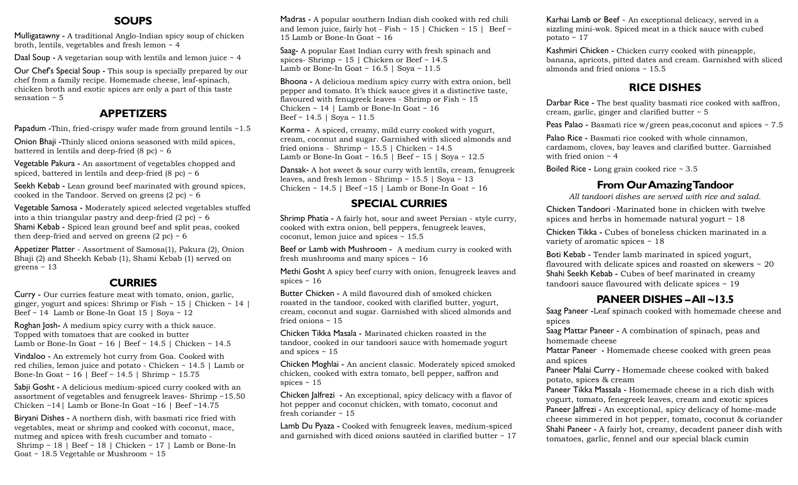### **SOUPS**

Mulligatawny - A traditional Anglo-Indian spicy soup of chicken broth, lentils, vegetables and fresh lemon ~ 4

Daal Soup - A vegetarian soup with lentils and lemon juice  $\sim$  4

Our Chef's Special Soup - This soup is specially prepared by our chef from a family recipe. Homemade cheese, leaf-spinach, chicken broth and exotic spices are only a part of this taste sensation  $\sim$  5

## **APPETIZERS**

Papadum -Thin, fried-crispy wafer made from ground lentils ~1.5

Onion Bhaji -Thinly sliced onions seasoned with mild spices, battered in lentils and deep-fried  $(8 \text{ pc}) \sim 6$ 

Vegetable Pakura - An assortment of vegetables chopped and spiced, battered in lentils and deep-fried  $(8 \text{ pc}) \sim 6$ 

Seekh Kebab - Lean ground beef marinated with ground spices, cooked in the Tandoor. Served on greens  $(2 \text{ pc}) \sim 6$ 

Vegetable Samosa - Moderately spiced selected vegetables stuffed into a thin triangular pastry and deep-fried  $(2 \text{ pc}) \sim 6$ Shami Kebab - Spiced lean ground beef and split peas, cooked then deep-fried and served on greens  $(2 \text{ pc}) \sim 6$ 

Appetizer Platter - Assortment of Samosa(1), Pakura (2), Onion Bhaji (2) and Sheekh Kebab (1), Shami Kebab (1) served on greens ~ 13

## **CURRIES**

Curry - Our curries feature meat with tomato, onion, garlic, ginger, yogurt and spices: Shrimp or Fish  $\sim 15$  | Chicken  $\sim 14$  | Beef ~ 14 Lamb or Bone-In Goat 15 | Soya ~ 12

Roghan Josh- A medium spicy curry with a thick sauce. Topped with tomatoes that are cooked in butter Lamb or Bone-In Goat ~ 16 | Beef ~ 14.5 | Chicken ~ 14.5

Vindaloo - An extremely hot curry from Goa. Cooked with red chilies, lemon juice and potato - Chicken ~ 14.5 | Lamb or Bone-In Goat ~ 16 | Beef ~ 14.5 | Shrimp ~ 15.75

Sabji Gosht - A delicious medium-spiced curry cooked with an assortment of vegetables and fenugreek leaves- Shrimp ~15.50 Chicken ~14| Lamb or Bone-In Goat ~16 | Beef ~14.75

Biryani Dishes - A northern dish, with basmati rice fried with vegetables, meat or shrimp and cooked with coconut, mace, nutmeg and spices with fresh cucumber and tomato - Shrimp ~ 18 | Beef ~ 18 | Chicken ~ 17 | Lamb or Bone-In Goat ~ 18.5 Vegetable or Mushroom ~ 15

Madras - A popular southern Indian dish cooked with red chili and lemon juice, fairly hot - Fish ~ 15 | Chicken ~ 15 | Beef ~ 15 Lamb or Bone-In Goat ~ 16

Saag- A popular East Indian curry with fresh spinach and spices- Shrimp  $\sim 15$  | Chicken or Beef  $\sim 14.5$ Lamb or Bone-In Goat  $\sim$  16.5 | Soya  $\sim$  11.5

Bhoona - A delicious medium spicy curry with extra onion, bell pepper and tomato. It's thick sauce gives it a distinctive taste, flavoured with fenugreek leaves - Shrimp or Fish  $\sim 15$ Chicken ~ 14 | Lamb or Bone-In Goat ~ 16 Beef ~ 14.5 | Soya ~ 11.5

Korma - A spiced, creamy, mild curry cooked with yogurt, cream, coconut and sugar. Garnished with sliced almonds and fried onions - Shrimp ~ 15.5 | Chicken ~ 14.5 Lamb or Bone-In Goat ~  $16.5$  | Beef ~  $15$  | Soya ~  $12.5$ 

Dansak- A hot sweet & sour curry with lentils, cream, fenugreek leaves, and fresh lemon - Shrimp  $\sim 15.5$  | Soya  $\sim 13$ Chicken  $\sim$  14.5 | Beef  $\sim$  15 | Lamb or Bone-In Goat  $\sim$  16

# **SPECIAL CURRIES**

Shrimp Phatia - A fairly hot, sour and sweet Persian - style curry, cooked with extra onion, bell peppers, fenugreek leaves, coconut, lemon juice and spices ~ 15.5

Beef or Lamb with Mushroom - A medium curry is cooked with fresh mushrooms and many spices ~ 16

Methi Gosht A spicy beef curry with onion, fenugreek leaves and spices  $\sim$  16

Butter Chicken - A mild flavoured dish of smoked chicken roasted in the tandoor, cooked with clarified butter, yogurt, cream, coconut and sugar. Garnished with sliced almonds and fried onions  $\sim$  15

Chicken Tikka Masala - Marinated chicken roasted in the tandoor, cooked in our tandoori sauce with homemade yogurt and spices ~ 15

Chicken Moghlai - An ancient classic. Moderately spiced smoked chicken, cooked with extra tomato, bell pepper, saffron and spices  $\sim$  15

Chicken Jalfrezi - An exceptional, spicy delicacy with a flavor of hot pepper and coconut chicken, with tomato, coconut and fresh coriander  $\sim$  15

Lamb Du Pyaza - Cooked with fenugreek leaves, medium-spiced and garnished with diced onions sautéed in clarified butter ~ 17 Karhai Lamb or Beef - An exceptional delicacy, served in a sizzling mini-wok. Spiced meat in a thick sauce with cubed potato ~ 17

Kashmiri Chicken - Chicken curry cooked with pineapple, banana, apricots, pitted dates and cream. Garnished with sliced almonds and fried onions ~ 15.5

# **RICE DISHES**

Darbar Rice - The best quality basmati rice cooked with saffron, cream, garlic, ginger and clarified butter ~ 5

Peas Palao - Basmati rice w/green peas,coconut and spices ~ 7.5

Palao Rice - Basmati rice cooked with whole cinnamon, cardamom, cloves, bay leaves and clarified butter. Garnished with fried onion  $\sim$  4

Boiled Rice - Long grain cooked rice ~ 3.5

# **From Our Amazing Tandoor**

*All tandoori dishes are served with rice and salad.*

Chicken Tandoori -Marinated bone in chicken with twelve spices and herbs in homemade natural yogurt ~ 18

Chicken Tikka - Cubes of boneless chicken marinated in a variety of aromatic spices ~ 18

Boti Kebab - Tender lamb marinated in spiced yogurt, flavoured with delicate spices and roasted on skewers ~ 20 Shahi Seekh Kebab - Cubes of beef marinated in creamy tandoori sauce flavoured with delicate spices ~ 19

# **PANEER DISHES –All ~13.5**

Saag Paneer -Leaf spinach cooked with homemade cheese and spices

Saag Mattar Paneer - A combination of spinach, peas and homemade cheese

Mattar Paneer - Homemade cheese cooked with green peas and spices

Paneer Malai Curry - Homemade cheese cooked with baked potato, spices & cream

Paneer Tikka Massala - Homemade cheese in a rich dish with yogurt, tomato, fenegreek leaves, cream and exotic spices Paneer Jalfrezi - An exceptional, spicy delicacy of home-made cheese simmered in hot pepper, tomato, coconut & coriander Shahi Paneer - A fairly hot, creamy, decadent paneer dish with tomatoes, garlic, fennel and our special black cumin